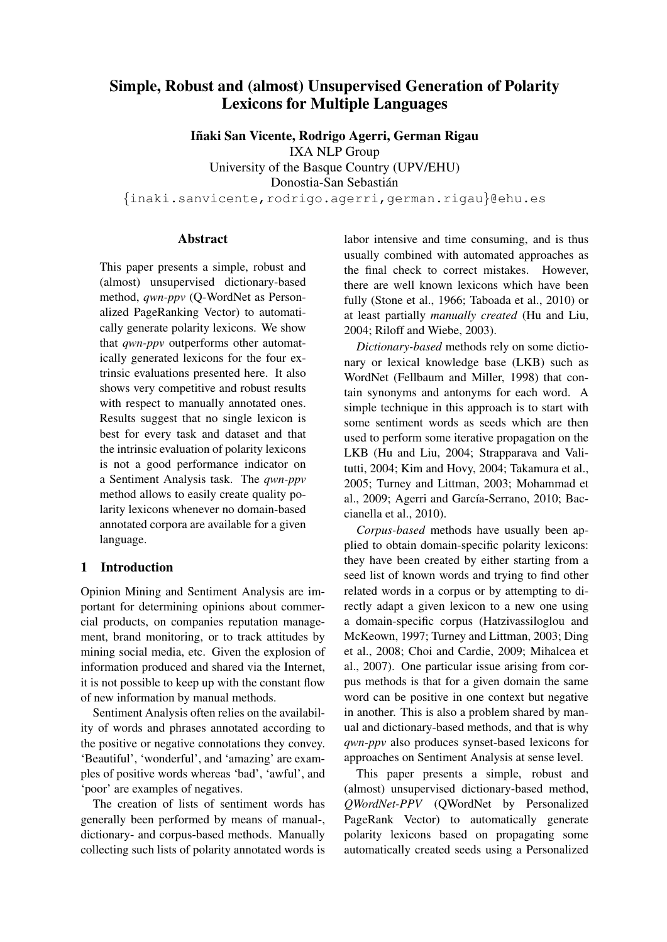# Simple, Robust and (almost) Unsupervised Generation of Polarity Lexicons for Multiple Languages

Iñaki San Vicente, Rodrigo Agerri, German Rigau IXA NLP Group

University of the Basque Country (UPV/EHU)

Donostia-San Sebastian´

{inaki.sanvicente,rodrigo.agerri,german.rigau}@ehu.es

#### Abstract

This paper presents a simple, robust and (almost) unsupervised dictionary-based method, *qwn-ppv* (Q-WordNet as Personalized PageRanking Vector) to automatically generate polarity lexicons. We show that *qwn-ppv* outperforms other automatically generated lexicons for the four extrinsic evaluations presented here. It also shows very competitive and robust results with respect to manually annotated ones. Results suggest that no single lexicon is best for every task and dataset and that the intrinsic evaluation of polarity lexicons is not a good performance indicator on a Sentiment Analysis task. The *qwn-ppv* method allows to easily create quality polarity lexicons whenever no domain-based annotated corpora are available for a given language.

# 1 Introduction

Opinion Mining and Sentiment Analysis are important for determining opinions about commercial products, on companies reputation management, brand monitoring, or to track attitudes by mining social media, etc. Given the explosion of information produced and shared via the Internet, it is not possible to keep up with the constant flow of new information by manual methods.

Sentiment Analysis often relies on the availability of words and phrases annotated according to the positive or negative connotations they convey. 'Beautiful', 'wonderful', and 'amazing' are examples of positive words whereas 'bad', 'awful', and 'poor' are examples of negatives.

The creation of lists of sentiment words has generally been performed by means of manual-, dictionary- and corpus-based methods. Manually collecting such lists of polarity annotated words is labor intensive and time consuming, and is thus usually combined with automated approaches as the final check to correct mistakes. However, there are well known lexicons which have been fully (Stone et al., 1966; Taboada et al., 2010) or at least partially *manually created* (Hu and Liu, 2004; Riloff and Wiebe, 2003).

*Dictionary-based* methods rely on some dictionary or lexical knowledge base (LKB) such as WordNet (Fellbaum and Miller, 1998) that contain synonyms and antonyms for each word. A simple technique in this approach is to start with some sentiment words as seeds which are then used to perform some iterative propagation on the LKB (Hu and Liu, 2004; Strapparava and Valitutti, 2004; Kim and Hovy, 2004; Takamura et al., 2005; Turney and Littman, 2003; Mohammad et al., 2009; Agerri and García-Serrano, 2010; Baccianella et al., 2010).

*Corpus-based* methods have usually been applied to obtain domain-specific polarity lexicons: they have been created by either starting from a seed list of known words and trying to find other related words in a corpus or by attempting to directly adapt a given lexicon to a new one using a domain-specific corpus (Hatzivassiloglou and McKeown, 1997; Turney and Littman, 2003; Ding et al., 2008; Choi and Cardie, 2009; Mihalcea et al., 2007). One particular issue arising from corpus methods is that for a given domain the same word can be positive in one context but negative in another. This is also a problem shared by manual and dictionary-based methods, and that is why *qwn-ppv* also produces synset-based lexicons for approaches on Sentiment Analysis at sense level.

This paper presents a simple, robust and (almost) unsupervised dictionary-based method, *QWordNet-PPV* (QWordNet by Personalized PageRank Vector) to automatically generate polarity lexicons based on propagating some automatically created seeds using a Personalized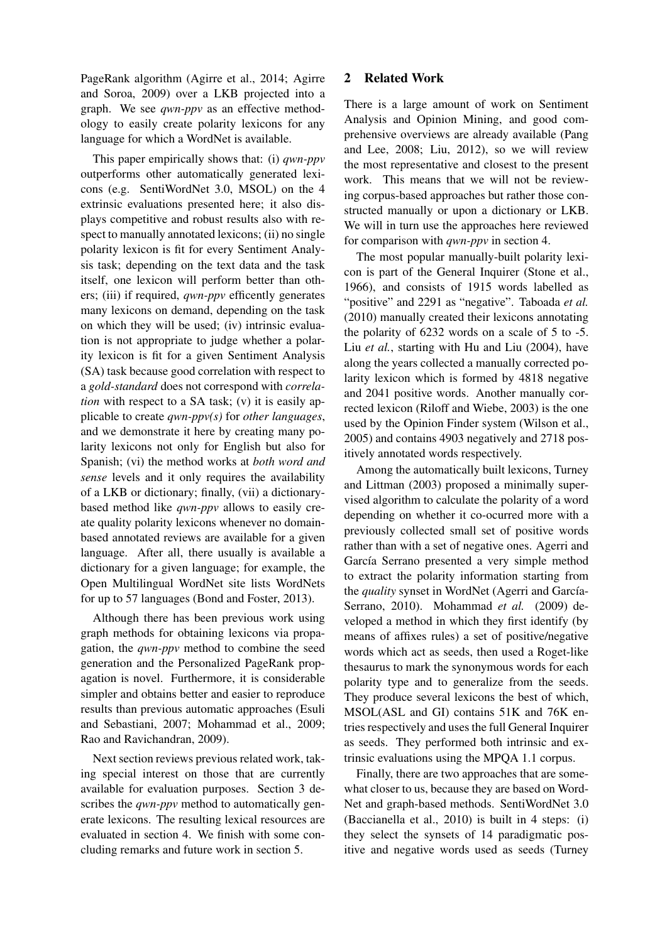PageRank algorithm (Agirre et al., 2014; Agirre and Soroa, 2009) over a LKB projected into a graph. We see *qwn-ppv* as an effective methodology to easily create polarity lexicons for any language for which a WordNet is available.

This paper empirically shows that: (i) *qwn-ppv* outperforms other automatically generated lexicons (e.g. SentiWordNet 3.0, MSOL) on the 4 extrinsic evaluations presented here; it also displays competitive and robust results also with respect to manually annotated lexicons; (ii) no single polarity lexicon is fit for every Sentiment Analysis task; depending on the text data and the task itself, one lexicon will perform better than others; (iii) if required, *qwn-ppv* efficently generates many lexicons on demand, depending on the task on which they will be used; (iv) intrinsic evaluation is not appropriate to judge whether a polarity lexicon is fit for a given Sentiment Analysis (SA) task because good correlation with respect to a *gold-standard* does not correspond with *correlation* with respect to a SA task; (v) it is easily applicable to create *qwn-ppv(s)* for *other languages*, and we demonstrate it here by creating many polarity lexicons not only for English but also for Spanish; (vi) the method works at *both word and sense* levels and it only requires the availability of a LKB or dictionary; finally, (vii) a dictionarybased method like *qwn-ppv* allows to easily create quality polarity lexicons whenever no domainbased annotated reviews are available for a given language. After all, there usually is available a dictionary for a given language; for example, the Open Multilingual WordNet site lists WordNets for up to 57 languages (Bond and Foster, 2013).

Although there has been previous work using graph methods for obtaining lexicons via propagation, the *qwn-ppv* method to combine the seed generation and the Personalized PageRank propagation is novel. Furthermore, it is considerable simpler and obtains better and easier to reproduce results than previous automatic approaches (Esuli and Sebastiani, 2007; Mohammad et al., 2009; Rao and Ravichandran, 2009).

Next section reviews previous related work, taking special interest on those that are currently available for evaluation purposes. Section 3 describes the *qwn-ppv* method to automatically generate lexicons. The resulting lexical resources are evaluated in section 4. We finish with some concluding remarks and future work in section 5.

## 2 Related Work

There is a large amount of work on Sentiment Analysis and Opinion Mining, and good comprehensive overviews are already available (Pang and Lee, 2008; Liu, 2012), so we will review the most representative and closest to the present work. This means that we will not be reviewing corpus-based approaches but rather those constructed manually or upon a dictionary or LKB. We will in turn use the approaches here reviewed for comparison with *qwn-ppv* in section 4.

The most popular manually-built polarity lexicon is part of the General Inquirer (Stone et al., 1966), and consists of 1915 words labelled as "positive" and 2291 as "negative". Taboada et al. (2010) manually created their lexicons annotating the polarity of 6232 words on a scale of 5 to -5. Liu *et al.*, starting with Hu and Liu (2004), have along the years collected a manually corrected polarity lexicon which is formed by 4818 negative and 2041 positive words. Another manually corrected lexicon (Riloff and Wiebe, 2003) is the one used by the Opinion Finder system (Wilson et al., 2005) and contains 4903 negatively and 2718 positively annotated words respectively.

Among the automatically built lexicons, Turney and Littman (2003) proposed a minimally supervised algorithm to calculate the polarity of a word depending on whether it co-ocurred more with a previously collected small set of positive words rather than with a set of negative ones. Agerri and García Serrano presented a very simple method to extract the polarity information starting from the *quality* synset in WordNet (Agerri and García-Serrano, 2010). Mohammad et al. (2009) developed a method in which they first identify (by means of affixes rules) a set of positive/negative words which act as seeds, then used a Roget-like thesaurus to mark the synonymous words for each polarity type and to generalize from the seeds. They produce several lexicons the best of which, MSOL(ASL and GI) contains 51K and 76K entries respectively and uses the full General Inquirer as seeds. They performed both intrinsic and extrinsic evaluations using the MPQA 1.1 corpus.

Finally, there are two approaches that are somewhat closer to us, because they are based on Word-Net and graph-based methods. SentiWordNet 3.0 (Baccianella et al., 2010) is built in 4 steps: (i) they select the synsets of 14 paradigmatic positive and negative words used as seeds (Turney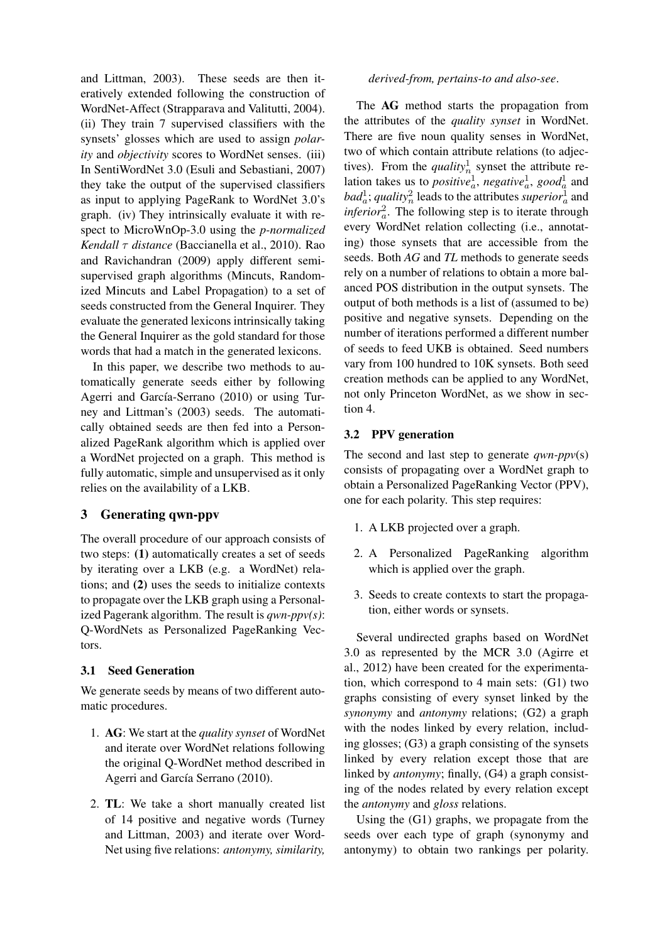and Littman, 2003). These seeds are then iteratively extended following the construction of WordNet-Affect (Strapparava and Valitutti, 2004). (ii) They train 7 supervised classifiers with the synsets' glosses which are used to assign *polarity* and *objectivity* scores to WordNet senses. (iii) In SentiWordNet 3.0 (Esuli and Sebastiani, 2007) they take the output of the supervised classifiers as input to applying PageRank to WordNet 3.0's graph. (iv) They intrinsically evaluate it with respect to MicroWnOp-3.0 using the *p-normalized Kendall* τ *distance* (Baccianella et al., 2010). Rao and Ravichandran (2009) apply different semisupervised graph algorithms (Mincuts, Randomized Mincuts and Label Propagation) to a set of seeds constructed from the General Inquirer. They evaluate the generated lexicons intrinsically taking the General Inquirer as the gold standard for those words that had a match in the generated lexicons.

In this paper, we describe two methods to automatically generate seeds either by following Agerri and García-Serrano (2010) or using Turney and Littman's (2003) seeds. The automatically obtained seeds are then fed into a Personalized PageRank algorithm which is applied over a WordNet projected on a graph. This method is fully automatic, simple and unsupervised as it only relies on the availability of a LKB.

## 3 Generating qwn-ppv

The overall procedure of our approach consists of two steps: (1) automatically creates a set of seeds by iterating over a LKB (e.g. a WordNet) relations; and (2) uses the seeds to initialize contexts to propagate over the LKB graph using a Personalized Pagerank algorithm. The result is *qwn-ppv(s)*: Q-WordNets as Personalized PageRanking Vectors.

## 3.1 Seed Generation

We generate seeds by means of two different automatic procedures.

- 1. AG: We start at the *quality synset* of WordNet and iterate over WordNet relations following the original Q-WordNet method described in Agerri and García Serrano (2010).
- 2. TL: We take a short manually created list of 14 positive and negative words (Turney and Littman, 2003) and iterate over Word-Net using five relations: *antonymy, similarity,*

#### *derived-from, pertains-to and also-see*.

The AG method starts the propagation from the attributes of the *quality synset* in WordNet. There are five noun quality senses in WordNet, two of which contain attribute relations (to adjectives). From the *quality*<sup>1</sup><sub>n</sub> synset the attribute relation takes us to *positive*<sup>1</sup><sub>*a*</sub>, *negative*<sup>1</sup><sub>*a*</sub>, *good*<sup>1</sup><sub>*a*</sub> and  $bad_a^1$ ; *quality*<sub>n</sub><sup>2</sup> leads to the attributes *superior*<sub>a</sub><sup>1</sup> and *inferior*<sup>2</sup> $\alpha$ </sup>. The following step is to iterate through every WordNet relation collecting (i.e., annotating) those synsets that are accessible from the seeds. Both *AG* and *TL* methods to generate seeds rely on a number of relations to obtain a more balanced POS distribution in the output synsets. The output of both methods is a list of (assumed to be) positive and negative synsets. Depending on the number of iterations performed a different number of seeds to feed UKB is obtained. Seed numbers vary from 100 hundred to 10K synsets. Both seed creation methods can be applied to any WordNet, not only Princeton WordNet, as we show in section 4.

## 3.2 PPV generation

The second and last step to generate *qwn-ppv*(s) consists of propagating over a WordNet graph to obtain a Personalized PageRanking Vector (PPV), one for each polarity. This step requires:

- 1. A LKB projected over a graph.
- 2. A Personalized PageRanking algorithm which is applied over the graph.
- 3. Seeds to create contexts to start the propagation, either words or synsets.

Several undirected graphs based on WordNet 3.0 as represented by the MCR 3.0 (Agirre et al., 2012) have been created for the experimentation, which correspond to 4 main sets: (G1) two graphs consisting of every synset linked by the *synonymy* and *antonymy* relations; (G2) a graph with the nodes linked by every relation, including glosses; (G3) a graph consisting of the synsets linked by every relation except those that are linked by *antonymy*; finally, (G4) a graph consisting of the nodes related by every relation except the *antonymy* and *gloss* relations.

Using the (G1) graphs, we propagate from the seeds over each type of graph (synonymy and antonymy) to obtain two rankings per polarity.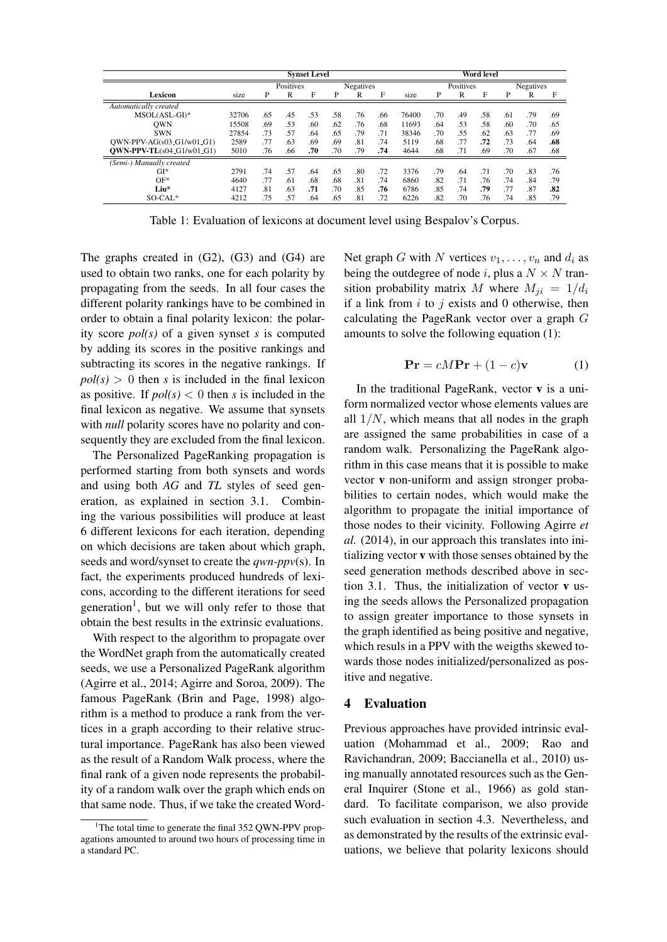|                             |       |     |           | <b>Synset Level</b> |     |                  |     |       |     |           | Word level |     |                  |     |
|-----------------------------|-------|-----|-----------|---------------------|-----|------------------|-----|-------|-----|-----------|------------|-----|------------------|-----|
|                             |       |     | Positives |                     |     | <b>Negatives</b> |     |       |     | Positives |            |     | <b>Negatives</b> |     |
| Lexicon                     | size  | P   | R         | F                   | P   | R                | F   | size  | P   | R         | F          | P   | R                | F   |
| Automatically created       |       |     |           |                     |     |                  |     |       |     |           |            |     |                  |     |
| MSOL(ASL-GI)*               | 32706 | .65 | .45       | .53                 | .58 | .76              | .66 | 76400 | .70 | .49       | .58        | .61 | .79              | .69 |
| <b>OWN</b>                  | 15508 | .69 | .53       | .60                 | .62 | .76              | .68 | 11693 | .64 | .53       | .58        | .60 | .70              | .65 |
| <b>SWN</b>                  | 27854 | .73 | .57       | .64                 | .65 | .79              | .71 | 38346 | .70 | .55       | .62        | .63 | .77              | .69 |
| $OWN-PPV-AG(s03_G1/w01_G1)$ | 2589  | .77 | .63       | .69                 | .69 | .81              | .74 | 5119  | .68 | .77       | .72        | .73 | .64              | .68 |
| $OWN-PPV-TL(s04_G1/w01_G1)$ | 5010  | .76 | .66       | .70                 | .70 | .79              | .74 | 4644  | .68 | .71       | .69        | .70 | .67              | .68 |
| (Semi-) Manually created    |       |     |           |                     |     |                  |     |       |     |           |            |     |                  |     |
| GI*                         | 2791  | .74 | .57       | .64                 | .65 | .80              | .72 | 3376  | .79 | .64       | .71        | .70 | .83              | .76 |
| $OF*$                       | 4640  | .77 | .61       | .68                 | .68 | .81              | .74 | 6860  | .82 | .71       | .76        | .74 | .84              | .79 |
| $Lin*$                      | 4127  | .81 | .63       | .71                 | .70 | .85              | .76 | 6786  | .85 | .74       | .79        | .77 | .87              | .82 |
| SO-CAL*                     | 4212  | .75 | .57       | .64                 | .65 | .81              | .72 | 6226  | .82 | .70       | .76        | .74 | .85              | .79 |

Table 1: Evaluation of lexicons at document level using Bespalov's Corpus.

The graphs created in (G2), (G3) and (G4) are used to obtain two ranks, one for each polarity by propagating from the seeds. In all four cases the different polarity rankings have to be combined in order to obtain a final polarity lexicon: the polarity score *pol(s)* of a given synset *s* is computed by adding its scores in the positive rankings and subtracting its scores in the negative rankings. If  $pol(s) > 0$  then *s* is included in the final lexicon as positive. If  $pol(s) < 0$  then *s* is included in the final lexicon as negative. We assume that synsets with *null* polarity scores have no polarity and consequently they are excluded from the final lexicon.

The Personalized PageRanking propagation is performed starting from both synsets and words and using both *AG* and *TL* styles of seed generation, as explained in section 3.1. Combining the various possibilities will produce at least 6 different lexicons for each iteration, depending on which decisions are taken about which graph, seeds and word/synset to create the *qwn-ppv*(s). In fact, the experiments produced hundreds of lexicons, according to the different iterations for seed generation<sup>1</sup>, but we will only refer to those that obtain the best results in the extrinsic evaluations.

With respect to the algorithm to propagate over the WordNet graph from the automatically created seeds, we use a Personalized PageRank algorithm (Agirre et al., 2014; Agirre and Soroa, 2009). The famous PageRank (Brin and Page, 1998) algorithm is a method to produce a rank from the vertices in a graph according to their relative structural importance. PageRank has also been viewed as the result of a Random Walk process, where the final rank of a given node represents the probability of a random walk over the graph which ends on that same node. Thus, if we take the created WordNet graph G with N vertices  $v_1, \ldots, v_n$  and  $d_i$  as being the outdegree of node i, plus a  $N \times N$  transition probability matrix M where  $M_{ii} = 1/d_i$ if a link from  $i$  to  $j$  exists and 0 otherwise, then calculating the PageRank vector over a graph G amounts to solve the following equation (1):

$$
\mathbf{Pr} = cM\mathbf{Pr} + (1 - c)\mathbf{v} \tag{1}
$$

In the traditional PageRank, vector v is a uniform normalized vector whose elements values are all  $1/N$ , which means that all nodes in the graph are assigned the same probabilities in case of a random walk. Personalizing the PageRank algorithm in this case means that it is possible to make vector v non-uniform and assign stronger probabilities to certain nodes, which would make the algorithm to propagate the initial importance of those nodes to their vicinity. Following Agirre *et al.* (2014), in our approach this translates into initializing vector v with those senses obtained by the seed generation methods described above in section 3.1. Thus, the initialization of vector  $\bf{v}$  using the seeds allows the Personalized propagation to assign greater importance to those synsets in the graph identified as being positive and negative, which resuls in a PPV with the weigths skewed towards those nodes initialized/personalized as positive and negative.

### 4 Evaluation

Previous approaches have provided intrinsic evaluation (Mohammad et al., 2009; Rao and Ravichandran, 2009; Baccianella et al., 2010) using manually annotated resources such as the General Inquirer (Stone et al., 1966) as gold standard. To facilitate comparison, we also provide such evaluation in section 4.3. Nevertheless, and as demonstrated by the results of the extrinsic evaluations, we believe that polarity lexicons should

<sup>&</sup>lt;sup>1</sup>The total time to generate the final  $352$  QWN-PPV propagations amounted to around two hours of processing time in a standard PC.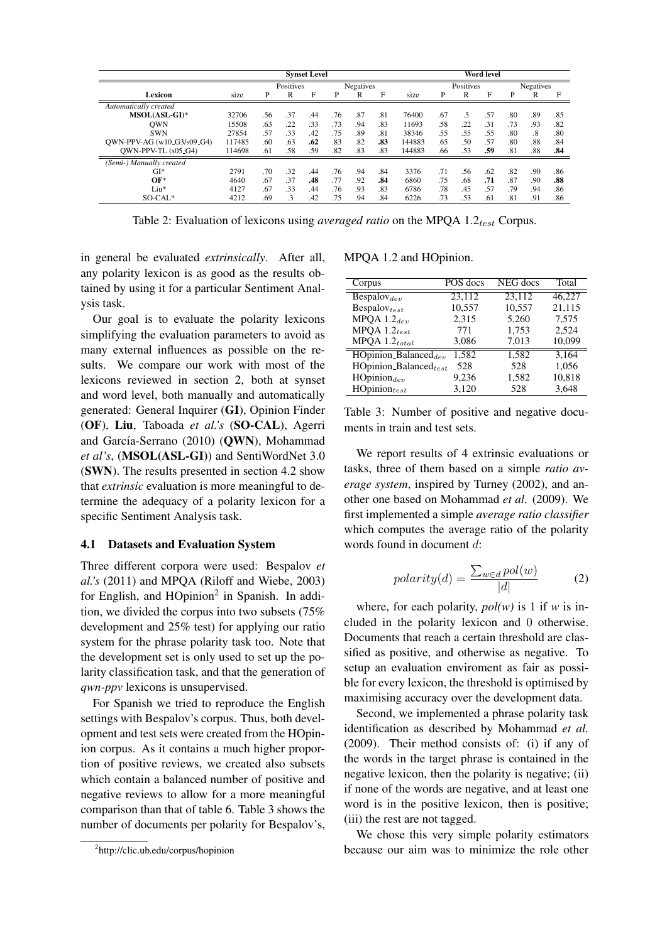|                            |        |     |           | <b>Synset Level</b> |     |                  |     |        |     |           | <b>Word level</b> |     |                  |     |
|----------------------------|--------|-----|-----------|---------------------|-----|------------------|-----|--------|-----|-----------|-------------------|-----|------------------|-----|
|                            |        |     | Positives |                     |     | <b>Negatives</b> |     |        |     | Positives |                   |     | <b>Negatives</b> |     |
| Lexicon                    | size   | P   | R         | F                   | P   | R                | F   | size   | P   | R         | F                 | P   | R                | F   |
| Automatically created      |        |     |           |                     |     |                  |     |        |     |           |                   |     |                  |     |
| MSOL(ASL-GI)*              | 32706  | .56 | .37       | .44                 | .76 | .87              | .81 | 76400  | .67 | .5        | .57               | .80 | .89              | .85 |
| <b>OWN</b>                 | 15508  | .63 | .22       | .33                 | .73 | .94              | .83 | 11693  | .58 | .22       | .31               | .73 | .93              | .82 |
| <b>SWN</b>                 | 27854  | .57 | .33       | .42                 | .75 | .89              | .81 | 38346  | .55 | .55       | .55               | .80 | .8               | .80 |
| OWN-PPV-AG (w10_G3/s09_G4) | 117485 | .60 | .63       | .62                 | .83 | .82              | .83 | 144883 | .65 | .50       | .57               | .80 | .88              | .84 |
| OWN-PPV-TL (s05_G4)        | 114698 | .61 | .58       | .59                 | .82 | .83              | .83 | 144883 | .66 | .53       | .59               | .81 | .88              | .84 |
| (Semi-) Manually created   |        |     |           |                     |     |                  |     |        |     |           |                   |     |                  |     |
| GI*                        | 2791   | .70 | .32       | .44                 | .76 | .94              | .84 | 3376   | .71 | .56       | .62               | .82 | .90              | .86 |
| $OF*$                      | 4640   | .67 | .37       | .48                 | .77 | .92              | .84 | 6860   | .75 | .68       | .71               | .87 | .90              | .88 |
| Liu*                       | 4127   | .67 | .33       | .44                 | .76 | .93              | .83 | 6786   | .78 | .45       | .57               | .79 | .94              | .86 |
| SO-CAL*                    | 4212   | .69 | $\cdot$ 3 | .42                 | .75 | .94              | .84 | 6226   | .73 | .53       | .61               | .81 | .91              | .86 |

Table 2: Evaluation of lexicons using *averaged ratio* on the MPQA 1.2<sub>test</sub> Corpus.

in general be evaluated *extrinsically*. After all, any polarity lexicon is as good as the results obtained by using it for a particular Sentiment Analysis task.

Our goal is to evaluate the polarity lexicons simplifying the evaluation parameters to avoid as many external influences as possible on the results. We compare our work with most of the lexicons reviewed in section 2, both at synset and word level, both manually and automatically generated: General Inquirer (GI), Opinion Finder (OF), Liu, Taboada *et al.'s* (SO-CAL), Agerri and García-Serrano (2010) (QWN), Mohammad *et al's*, (MSOL(ASL-GI)) and SentiWordNet 3.0 (SWN). The results presented in section 4.2 show that *extrinsic* evaluation is more meaningful to determine the adequacy of a polarity lexicon for a specific Sentiment Analysis task.

#### 4.1 Datasets and Evaluation System

Three different corpora were used: Bespalov *et al.'s* (2011) and MPQA (Riloff and Wiebe, 2003) for English, and HOpinion<sup>2</sup> in Spanish. In addition, we divided the corpus into two subsets (75% development and 25% test) for applying our ratio system for the phrase polarity task too. Note that the development set is only used to set up the polarity classification task, and that the generation of *qwn-ppv* lexicons is unsupervised.

For Spanish we tried to reproduce the English settings with Bespalov's corpus. Thus, both development and test sets were created from the HOpinion corpus. As it contains a much higher proportion of positive reviews, we created also subsets which contain a balanced number of positive and negative reviews to allow for a more meaningful comparison than that of table 6. Table 3 shows the number of documents per polarity for Bespalov's,

MPQA 1.2 and HOpinion.

| Corpus                                       | POS docs | NEG docs | Total  |
|----------------------------------------------|----------|----------|--------|
| $\overline{\text{Bespalov}}_{dev}$           | 23,112   | 23,112   | 46,227 |
| $Bespalov_{test}$                            | 10,557   | 10,557   | 21,115 |
| MPQA $1.2_{dev}$                             | 2,315    | 5,260    | 7,575  |
| MPQA $1.2_{test}$                            | 771      | 1,753    | 2,524  |
| MPQA $1.2_{total}$                           | 3,086    | 7,013    | 10,099 |
| $\overline{\text{HOpinion\_Balanced}_{dev}}$ | 1,582    | 1,582    | 3,164  |
| $HOpinion\_Balanced_{test}$                  | 528      | 528      | 1,056  |
| $HOpinion_{dev}$                             | 9,236    | 1,582    | 10,818 |
| $HOpinion_{test}$                            | 3,120    | 528      | 3,648  |

Table 3: Number of positive and negative documents in train and test sets.

We report results of 4 extrinsic evaluations or tasks, three of them based on a simple *ratio average system*, inspired by Turney (2002), and another one based on Mohammad *et al.* (2009). We first implemented a simple *average ratio classifier* which computes the average ratio of the polarity words found in document d:

$$
polarity(d) = \frac{\sum_{w \in d} pol(w)}{|d|} \tag{2}
$$

where, for each polarity,  $pol(w)$  is 1 if *w* is included in the polarity lexicon and 0 otherwise. Documents that reach a certain threshold are classified as positive, and otherwise as negative. To setup an evaluation enviroment as fair as possible for every lexicon, the threshold is optimised by maximising accuracy over the development data.

Second, we implemented a phrase polarity task identification as described by Mohammad *et al.* (2009). Their method consists of: (i) if any of the words in the target phrase is contained in the negative lexicon, then the polarity is negative; (ii) if none of the words are negative, and at least one word is in the positive lexicon, then is positive; (iii) the rest are not tagged.

We chose this very simple polarity estimators because our aim was to minimize the role other

<sup>2</sup> http://clic.ub.edu/corpus/hopinion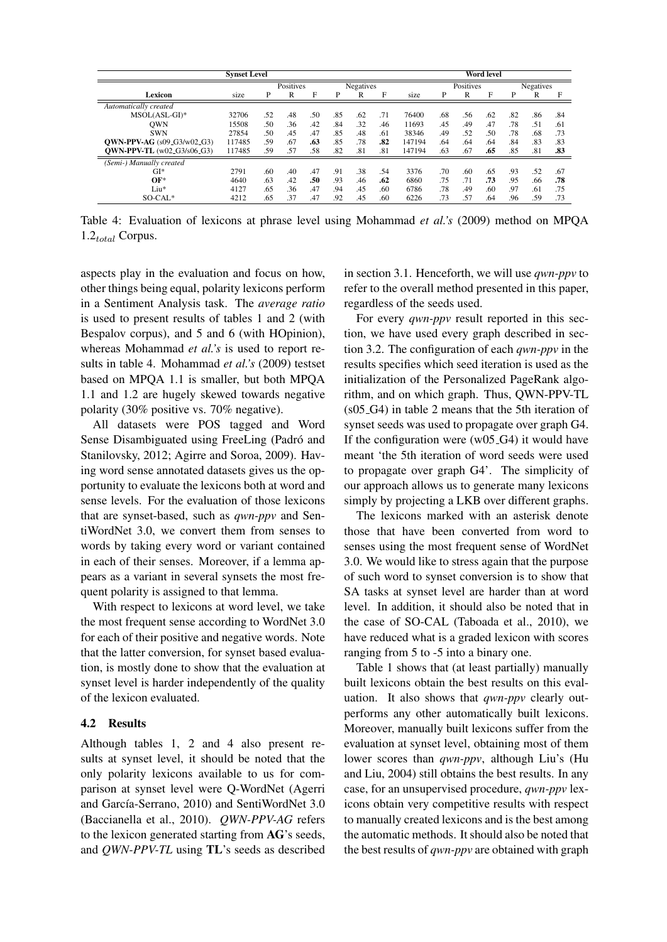|                                     | <b>Synset Level</b> |     |           |     |     |                  |     |        |     |           | <b>Word level</b> |     |                  |     |
|-------------------------------------|---------------------|-----|-----------|-----|-----|------------------|-----|--------|-----|-----------|-------------------|-----|------------------|-----|
|                                     |                     |     | Positives |     |     | <b>Negatives</b> |     |        |     | Positives |                   |     | <b>Negatives</b> |     |
| Lexicon                             | size                | P   | R         | F   | P   | R                | F   | size   | P   | R         | F                 | P   | R                | F   |
| Automatically created               |                     |     |           |     |     |                  |     |        |     |           |                   |     |                  |     |
| $MSOL(ASL-GI)^*$                    | 32706               | .52 | .48       | .50 | .85 | .62              | .71 | 76400  | .68 | .56       | .62               | .82 | .86              | .84 |
| <b>OWN</b>                          | 15508               | .50 | .36       | .42 | .84 | .32              | .46 | 11693  | .45 | .49       | .47               | .78 | .51              | .61 |
| <b>SWN</b>                          | 27854               | .50 | .45       | .47 | .85 | .48              | .61 | 38346  | .49 | .52       | .50               | .78 | .68              | .73 |
| $OWN-PPV-AG (s09_G3/w02_G3)$        | 117485              | .59 | .67       | .63 | .85 | .78              | .82 | 147194 | .64 | .64       | .64               | .84 | .83              | .83 |
| <b>OWN-PPV-TL</b> $(w02_G3/s06_G3)$ | 117485              | .59 | .57       | .58 | .82 | .81              | .81 | 147194 | .63 | .67       | .65               | .85 | .81              | .83 |
| (Semi-) Manually created            |                     |     |           |     |     |                  |     |        |     |           |                   |     |                  |     |
| GI*                                 | 2791                | .60 | .40       | .47 | .91 | .38              | .54 | 3376   | .70 | .60       | .65               | .93 | .52              | .67 |
| $OF*$                               | 4640                | .63 | .42       | .50 | .93 | .46              | .62 | 6860   | .75 | .71       | .73               | .95 | .66              | .78 |
| $Liu*$                              | 4127                | .65 | .36       | .47 | .94 | .45              | .60 | 6786   | .78 | .49       | .60               | .97 | .61              | .75 |
| SO-CAL*                             | 4212                | .65 | .37       | .47 | .92 | .45              | .60 | 6226   | .73 | .57       | .64               | .96 | .59              | .73 |

Table 4: Evaluation of lexicons at phrase level using Mohammad *et al.'s* (2009) method on MPQA  $1.2_{total}$  Corpus.

aspects play in the evaluation and focus on how, other things being equal, polarity lexicons perform in a Sentiment Analysis task. The *average ratio* is used to present results of tables 1 and 2 (with Bespalov corpus), and 5 and 6 (with HOpinion), whereas Mohammad *et al.'s* is used to report results in table 4. Mohammad *et al.'s* (2009) testset based on MPQA 1.1 is smaller, but both MPQA 1.1 and 1.2 are hugely skewed towards negative polarity (30% positive vs. 70% negative).

All datasets were POS tagged and Word Sense Disambiguated using FreeLing (Padró and Stanilovsky, 2012; Agirre and Soroa, 2009). Having word sense annotated datasets gives us the opportunity to evaluate the lexicons both at word and sense levels. For the evaluation of those lexicons that are synset-based, such as *qwn-ppv* and SentiWordNet 3.0, we convert them from senses to words by taking every word or variant contained in each of their senses. Moreover, if a lemma appears as a variant in several synsets the most frequent polarity is assigned to that lemma.

With respect to lexicons at word level, we take the most frequent sense according to WordNet 3.0 for each of their positive and negative words. Note that the latter conversion, for synset based evaluation, is mostly done to show that the evaluation at synset level is harder independently of the quality of the lexicon evaluated.

## 4.2 Results

Although tables 1, 2 and 4 also present results at synset level, it should be noted that the only polarity lexicons available to us for comparison at synset level were Q-WordNet (Agerri and García-Serrano, 2010) and SentiWordNet 3.0 (Baccianella et al., 2010). *QWN-PPV-AG* refers to the lexicon generated starting from AG's seeds, and *QWN-PPV-TL* using TL's seeds as described

in section 3.1. Henceforth, we will use *qwn-ppv* to refer to the overall method presented in this paper, regardless of the seeds used.

For every *qwn-ppv* result reported in this section, we have used every graph described in section 3.2. The configuration of each *qwn-ppv* in the results specifies which seed iteration is used as the initialization of the Personalized PageRank algorithm, and on which graph. Thus, QWN-PPV-TL (s05 G4) in table 2 means that the 5th iteration of synset seeds was used to propagate over graph G4. If the configuration were  $(w05_G4)$  it would have meant 'the 5th iteration of word seeds were used to propagate over graph G4'. The simplicity of our approach allows us to generate many lexicons simply by projecting a LKB over different graphs.

The lexicons marked with an asterisk denote those that have been converted from word to senses using the most frequent sense of WordNet 3.0. We would like to stress again that the purpose of such word to synset conversion is to show that SA tasks at synset level are harder than at word level. In addition, it should also be noted that in the case of SO-CAL (Taboada et al., 2010), we have reduced what is a graded lexicon with scores ranging from 5 to -5 into a binary one.

Table 1 shows that (at least partially) manually built lexicons obtain the best results on this evaluation. It also shows that *qwn-ppv* clearly outperforms any other automatically built lexicons. Moreover, manually built lexicons suffer from the evaluation at synset level, obtaining most of them lower scores than *qwn-ppv*, although Liu's (Hu and Liu, 2004) still obtains the best results. In any case, for an unsupervised procedure, *qwn-ppv* lexicons obtain very competitive results with respect to manually created lexicons and is the best among the automatic methods. It should also be noted that the best results of *qwn-ppv* are obtained with graph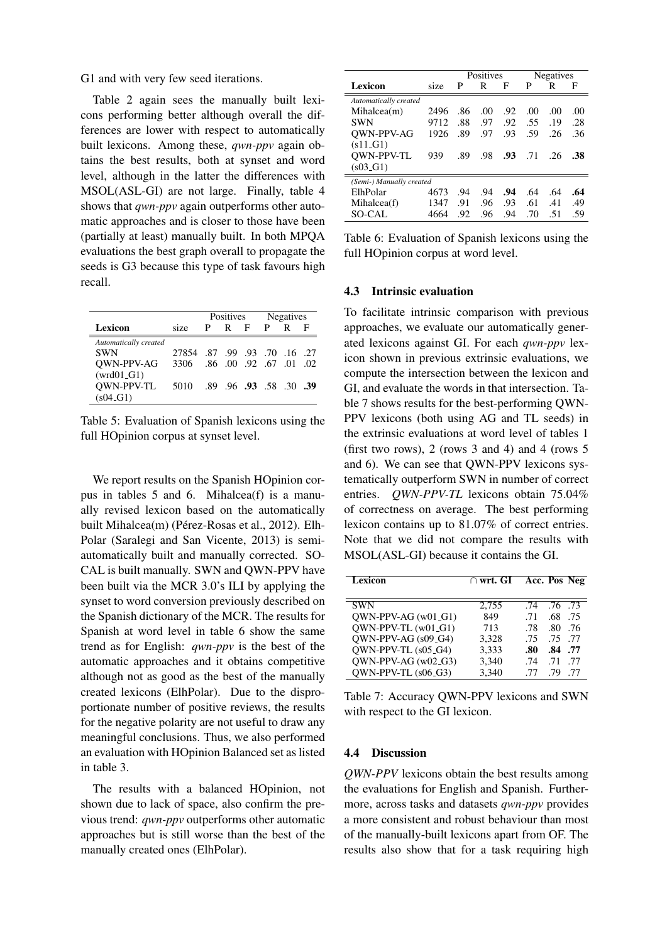G1 and with very few seed iterations.

Table 2 again sees the manually built lexicons performing better although overall the differences are lower with respect to automatically built lexicons. Among these, *qwn-ppv* again obtains the best results, both at synset and word level, although in the latter the differences with MSOL(ASL-GI) are not large. Finally, table 4 shows that *qwn-ppv* again outperforms other automatic approaches and is closer to those have been (partially at least) manually built. In both MPQA evaluations the best graph overall to propagate the seeds is G3 because this type of task favours high recall.

|                       |       |   | Positives |   | <b>Negatives</b>                    |   |   |  |
|-----------------------|-------|---|-----------|---|-------------------------------------|---|---|--|
| Lexicon               | size. | P | R         | F | P                                   | R | F |  |
| Automatically created |       |   |           |   |                                     |   |   |  |
| <b>SWN</b>            | 27854 |   |           |   | 87 99 93 70 16 27                   |   |   |  |
| <b>OWN-PPV-AG</b>     | 3306  |   |           |   | $.86$ $.00$ $.92$ $.67$ $.01$ $.02$ |   |   |  |
| $(wrd01_G1)$          |       |   |           |   |                                     |   |   |  |
| <b>OWN-PPV-TL</b>     | 5010  |   |           |   | 89 96 93 58 30 39                   |   |   |  |
| $(s04_G1)$            |       |   |           |   |                                     |   |   |  |

Table 5: Evaluation of Spanish lexicons using the full HOpinion corpus at synset level.

We report results on the Spanish HOpinion corpus in tables 5 and 6. Mihalcea(f) is a manually revised lexicon based on the automatically built Mihalcea(m) (Pérez-Rosas et al., 2012). Elh-Polar (Saralegi and San Vicente, 2013) is semiautomatically built and manually corrected. SO-CAL is built manually. SWN and QWN-PPV have been built via the MCR 3.0's ILI by applying the synset to word conversion previously described on the Spanish dictionary of the MCR. The results for Spanish at word level in table 6 show the same trend as for English: *qwn-ppv* is the best of the automatic approaches and it obtains competitive although not as good as the best of the manually created lexicons (ElhPolar). Due to the disproportionate number of positive reviews, the results for the negative polarity are not useful to draw any meaningful conclusions. Thus, we also performed an evaluation with HOpinion Balanced set as listed in table 3.

The results with a balanced HOpinion, not shown due to lack of space, also confirm the previous trend: *qwn-ppv* outperforms other automatic approaches but is still worse than the best of the manually created ones (ElhPolar).

|                          |      |     | <b>Positives</b> |     | Negatives |     |     |  |  |
|--------------------------|------|-----|------------------|-----|-----------|-----|-----|--|--|
| Lexicon                  | size | P   | R                | F   | P         | R   | F   |  |  |
| Automatically created    |      |     |                  |     |           |     |     |  |  |
| Mihalcea(m)              | 2496 | .86 | .00              | .92 | .00       | .00 | .00 |  |  |
| <b>SWN</b>               | 9712 | .88 | .97              | .92 | .55       | .19 | .28 |  |  |
| QWN-PPV-AG               | 1926 | .89 | .97              | 93  | .59       | .26 | .36 |  |  |
| $(s11_G1)$               |      |     |                  |     |           |     |     |  |  |
| <b>OWN-PPV-TL</b>        | 939  | .89 | .98              | .93 | -71       | .26 | .38 |  |  |
| $(s03_G1)$               |      |     |                  |     |           |     |     |  |  |
| (Semi-) Manually created |      |     |                  |     |           |     |     |  |  |
| ElhPolar                 | 4673 | .94 | -94              | .94 | .64       | .64 | .64 |  |  |
| Mihalcea(f)              | 1347 | .91 | .96              | .93 | .61       | .41 | .49 |  |  |
| SO-CAL                   | 4664 | .92 | .96              | .94 | .70       | .51 | .59 |  |  |

Table 6: Evaluation of Spanish lexicons using the full HOpinion corpus at word level.

#### 4.3 Intrinsic evaluation

To facilitate intrinsic comparison with previous approaches, we evaluate our automatically generated lexicons against GI. For each *qwn-ppv* lexicon shown in previous extrinsic evaluations, we compute the intersection between the lexicon and GI, and evaluate the words in that intersection. Table 7 shows results for the best-performing QWN-PPV lexicons (both using AG and TL seeds) in the extrinsic evaluations at word level of tables 1 (first two rows), 2 (rows  $3$  and  $4$ ) and  $4$  (rows  $5$ ) and 6). We can see that QWN-PPV lexicons systematically outperform SWN in number of correct entries. *QWN-PPV-TL* lexicons obtain 75.04% of correctness on average. The best performing lexicon contains up to 81.07% of correct entries. Note that we did not compare the results with MSOL(ASL-GI) because it contains the GI.

| Lexicon               | $\cap$ wrt. GI Acc. Pos Neg |     |             |     |
|-----------------------|-----------------------------|-----|-------------|-----|
|                       |                             |     |             |     |
| <b>SWN</b>            | 2,755                       | .74 | $.76$ $.73$ |     |
| $OWN-PPV-AG (w01_G1)$ | 849                         | .71 | .68         | .75 |
| $QWN-PPV-TL (w01_G1)$ | 713                         | .78 | -80         | .76 |
| OWN-PPV-AG (s09_G4)   | 3,328                       | .75 | .75.        | .77 |
| QWN-PPV-TL (s05_G4)   | 3,333                       | .80 | .84         | .77 |
| QWN-PPV-AG (w02_G3)   | 3.340                       | .74 | .71         | .77 |
| OWN-PPV-TL (s06_G3)   | 3,340                       | -77 | 79          | .77 |

Table 7: Accuracy QWN-PPV lexicons and SWN with respect to the GI lexicon.

#### 4.4 Discussion

*QWN-PPV* lexicons obtain the best results among the evaluations for English and Spanish. Furthermore, across tasks and datasets *qwn-ppv* provides a more consistent and robust behaviour than most of the manually-built lexicons apart from OF. The results also show that for a task requiring high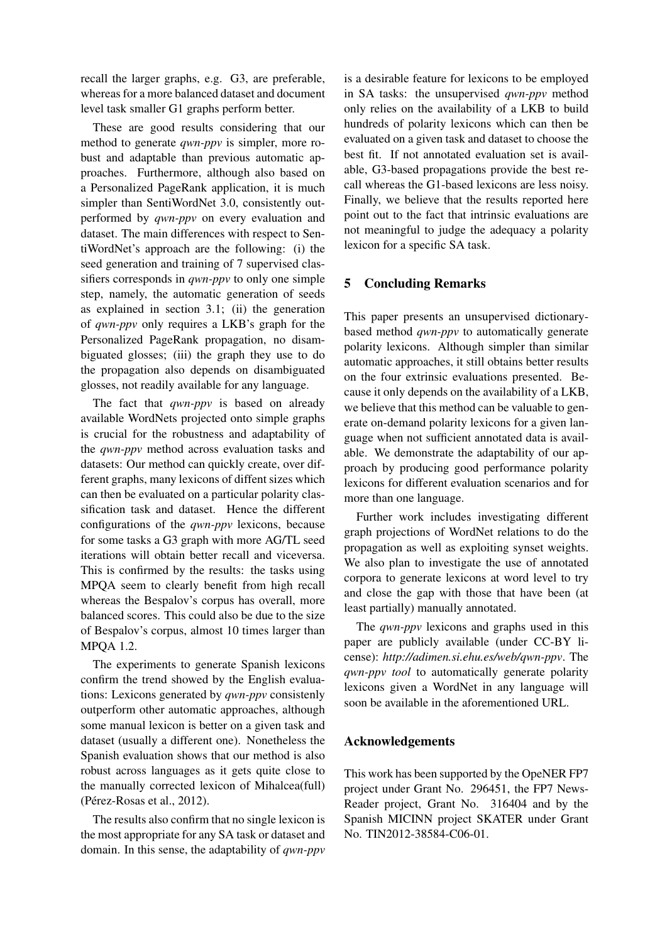recall the larger graphs, e.g. G3, are preferable, whereas for a more balanced dataset and document level task smaller G1 graphs perform better.

These are good results considering that our method to generate *qwn-ppv* is simpler, more robust and adaptable than previous automatic approaches. Furthermore, although also based on a Personalized PageRank application, it is much simpler than SentiWordNet 3.0, consistently outperformed by *qwn-ppv* on every evaluation and dataset. The main differences with respect to SentiWordNet's approach are the following: (i) the seed generation and training of 7 supervised classifiers corresponds in *qwn-ppv* to only one simple step, namely, the automatic generation of seeds as explained in section 3.1; (ii) the generation of *qwn-ppv* only requires a LKB's graph for the Personalized PageRank propagation, no disambiguated glosses; (iii) the graph they use to do the propagation also depends on disambiguated glosses, not readily available for any language.

The fact that *qwn-ppv* is based on already available WordNets projected onto simple graphs is crucial for the robustness and adaptability of the *qwn-ppv* method across evaluation tasks and datasets: Our method can quickly create, over different graphs, many lexicons of diffent sizes which can then be evaluated on a particular polarity classification task and dataset. Hence the different configurations of the *qwn-ppv* lexicons, because for some tasks a G3 graph with more AG/TL seed iterations will obtain better recall and viceversa. This is confirmed by the results: the tasks using MPQA seem to clearly benefit from high recall whereas the Bespalov's corpus has overall, more balanced scores. This could also be due to the size of Bespalov's corpus, almost 10 times larger than MPQA 1.2.

The experiments to generate Spanish lexicons confirm the trend showed by the English evaluations: Lexicons generated by *qwn-ppv* consistenly outperform other automatic approaches, although some manual lexicon is better on a given task and dataset (usually a different one). Nonetheless the Spanish evaluation shows that our method is also robust across languages as it gets quite close to the manually corrected lexicon of Mihalcea(full) (Pérez-Rosas et al., 2012).

The results also confirm that no single lexicon is the most appropriate for any SA task or dataset and domain. In this sense, the adaptability of *qwn-ppv*

is a desirable feature for lexicons to be employed in SA tasks: the unsupervised *qwn-ppv* method only relies on the availability of a LKB to build hundreds of polarity lexicons which can then be evaluated on a given task and dataset to choose the best fit. If not annotated evaluation set is available, G3-based propagations provide the best recall whereas the G1-based lexicons are less noisy. Finally, we believe that the results reported here point out to the fact that intrinsic evaluations are not meaningful to judge the adequacy a polarity lexicon for a specific SA task.

## 5 Concluding Remarks

This paper presents an unsupervised dictionarybased method *qwn-ppv* to automatically generate polarity lexicons. Although simpler than similar automatic approaches, it still obtains better results on the four extrinsic evaluations presented. Because it only depends on the availability of a LKB, we believe that this method can be valuable to generate on-demand polarity lexicons for a given language when not sufficient annotated data is available. We demonstrate the adaptability of our approach by producing good performance polarity lexicons for different evaluation scenarios and for more than one language.

Further work includes investigating different graph projections of WordNet relations to do the propagation as well as exploiting synset weights. We also plan to investigate the use of annotated corpora to generate lexicons at word level to try and close the gap with those that have been (at least partially) manually annotated.

The *qwn-ppv* lexicons and graphs used in this paper are publicly available (under CC-BY license): *http://adimen.si.ehu.es/web/qwn-ppv*. The *qwn-ppv tool* to automatically generate polarity lexicons given a WordNet in any language will soon be available in the aforementioned URL.

## Acknowledgements

This work has been supported by the OpeNER FP7 project under Grant No. 296451, the FP7 News-Reader project, Grant No. 316404 and by the Spanish MICINN project SKATER under Grant No. TIN2012-38584-C06-01.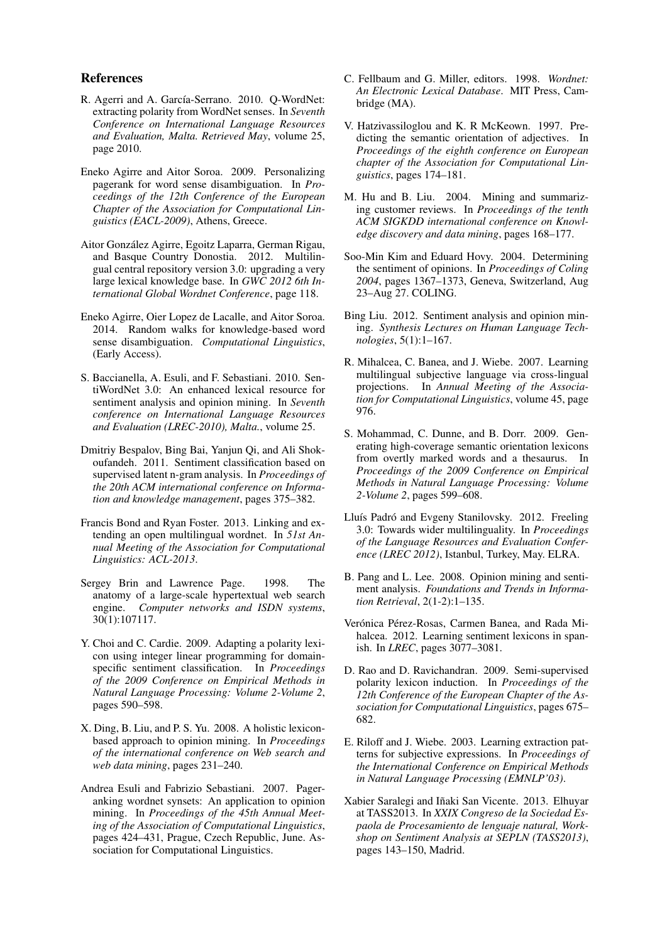#### References

- R. Agerri and A. García-Serrano. 2010. Q-WordNet: extracting polarity from WordNet senses. In *Seventh Conference on International Language Resources and Evaluation, Malta. Retrieved May*, volume 25, page 2010.
- Eneko Agirre and Aitor Soroa. 2009. Personalizing pagerank for word sense disambiguation. In *Proceedings of the 12th Conference of the European Chapter of the Association for Computational Linguistics (EACL-2009)*, Athens, Greece.
- Aitor Gonzalez Agirre, Egoitz Laparra, German Rigau, ´ and Basque Country Donostia. 2012. Multilingual central repository version 3.0: upgrading a very large lexical knowledge base. In *GWC 2012 6th International Global Wordnet Conference*, page 118.
- Eneko Agirre, Oier Lopez de Lacalle, and Aitor Soroa. 2014. Random walks for knowledge-based word sense disambiguation. *Computational Linguistics*, (Early Access).
- S. Baccianella, A. Esuli, and F. Sebastiani. 2010. SentiWordNet 3.0: An enhanced lexical resource for sentiment analysis and opinion mining. In *Seventh conference on International Language Resources and Evaluation (LREC-2010), Malta.*, volume 25.
- Dmitriy Bespalov, Bing Bai, Yanjun Qi, and Ali Shokoufandeh. 2011. Sentiment classification based on supervised latent n-gram analysis. In *Proceedings of the 20th ACM international conference on Information and knowledge management*, pages 375–382.
- Francis Bond and Ryan Foster. 2013. Linking and extending an open multilingual wordnet. In *51st Annual Meeting of the Association for Computational Linguistics: ACL-2013*.
- Sergey Brin and Lawrence Page. 1998. The anatomy of a large-scale hypertextual web search engine. *Computer networks and ISDN systems*, 30(1):107117.
- Y. Choi and C. Cardie. 2009. Adapting a polarity lexicon using integer linear programming for domainspecific sentiment classification. In *Proceedings of the 2009 Conference on Empirical Methods in Natural Language Processing: Volume 2-Volume 2*, pages 590–598.
- X. Ding, B. Liu, and P. S. Yu. 2008. A holistic lexiconbased approach to opinion mining. In *Proceedings of the international conference on Web search and web data mining*, pages 231–240.
- Andrea Esuli and Fabrizio Sebastiani. 2007. Pageranking wordnet synsets: An application to opinion mining. In *Proceedings of the 45th Annual Meeting of the Association of Computational Linguistics*, pages 424–431, Prague, Czech Republic, June. Association for Computational Linguistics.
- C. Fellbaum and G. Miller, editors. 1998. *Wordnet: An Electronic Lexical Database*. MIT Press, Cambridge (MA).
- V. Hatzivassiloglou and K. R McKeown. 1997. Predicting the semantic orientation of adjectives. In *Proceedings of the eighth conference on European chapter of the Association for Computational Linguistics*, pages 174–181.
- M. Hu and B. Liu. 2004. Mining and summarizing customer reviews. In *Proceedings of the tenth ACM SIGKDD international conference on Knowledge discovery and data mining*, pages 168–177.
- Soo-Min Kim and Eduard Hovy. 2004. Determining the sentiment of opinions. In *Proceedings of Coling 2004*, pages 1367–1373, Geneva, Switzerland, Aug 23–Aug 27. COLING.
- Bing Liu. 2012. Sentiment analysis and opinion mining. *Synthesis Lectures on Human Language Technologies*, 5(1):1–167.
- R. Mihalcea, C. Banea, and J. Wiebe. 2007. Learning multilingual subjective language via cross-lingual projections. In *Annual Meeting of the Association for Computational Linguistics*, volume 45, page 976.
- S. Mohammad, C. Dunne, and B. Dorr. 2009. Generating high-coverage semantic orientation lexicons from overtly marked words and a thesaurus. In *Proceedings of the 2009 Conference on Empirical Methods in Natural Language Processing: Volume 2-Volume 2*, pages 599–608.
- Lluís Padró and Evgeny Stanilovsky. 2012. Freeling 3.0: Towards wider multilinguality. In *Proceedings of the Language Resources and Evaluation Conference (LREC 2012)*, Istanbul, Turkey, May. ELRA.
- B. Pang and L. Lee. 2008. Opinion mining and sentiment analysis. *Foundations and Trends in Information Retrieval*, 2(1-2):1–135.
- Verónica Pérez-Rosas, Carmen Banea, and Rada Mihalcea. 2012. Learning sentiment lexicons in spanish. In *LREC*, pages 3077–3081.
- D. Rao and D. Ravichandran. 2009. Semi-supervised polarity lexicon induction. In *Proceedings of the 12th Conference of the European Chapter of the Association for Computational Linguistics*, pages 675– 682.
- E. Riloff and J. Wiebe. 2003. Learning extraction patterns for subjective expressions. In *Proceedings of the International Conference on Empirical Methods in Natural Language Processing (EMNLP'03)*.
- Xabier Saralegi and Iñaki San Vicente. 2013. Elhuyar at TASS2013. In *XXIX Congreso de la Sociedad Espaola de Procesamiento de lenguaje natural, Workshop on Sentiment Analysis at SEPLN (TASS2013)*, pages 143–150, Madrid.